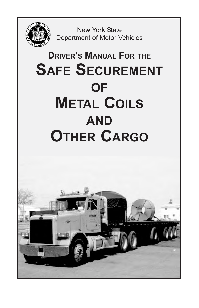

New York State Department of Motor Vehicles

# **DRIVER'S MANUAL FOR THE SAFE SECUREMENT OF METAL COILS AND OTHER CARGO**

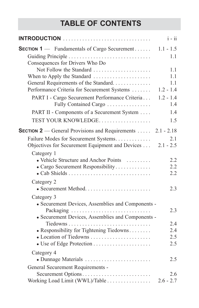## **TABLE OF CONTENTS**

| <b>INTRODUCTION</b>                                                     | $i - ii$           |
|-------------------------------------------------------------------------|--------------------|
| SECTION 1 - Fundamentals of Cargo Securement                            | $1.1 - 1.5$        |
|                                                                         | 1.1                |
| Consequences for Drivers Who Do                                         |                    |
| Not Follow the Standard                                                 | 1.1                |
| When to Apply the Standard                                              | 1.1                |
| General Requirements of the Standard                                    | 1.1                |
| Performance Criteria for Securement Systems                             | $1.2 - 1.4$        |
| PART I - Cargo Securement Performance Criteria<br>Fully Contained Cargo | $1.2 - 1.4$<br>1.4 |
|                                                                         |                    |
| PART II - Components of a Securement System                             | 1.4                |
| TEST YOUR KNOWLEDGE                                                     | 1.5                |
| <b>SECTION 2</b> — General Provisions and Requirements $\dots$          | $2.1 - 2.18$       |
| Failure Modes for Securement Systems                                    | 2.1                |
| Objectives for Securement Equipment and Devices  2.1 - 2.5              |                    |
| Category 1                                                              |                    |
| • Vehicle Structure and Anchor Points                                   | 2.2                |
| • Cargo Securement Responsibility                                       | 2.2                |
|                                                                         | 2.2                |
| Category 2                                                              |                    |
|                                                                         | 2.3                |
| Category 3                                                              |                    |
| • Securement Devices, Assemblies and Components -                       |                    |
| Packaging                                                               | 2.3                |
| • Securement Devices, Assemblies and Components -                       |                    |
| Tiedowns                                                                | 2.4                |
| • Responsibility for Tightening Tiedowns                                | 2.4                |
| • Location of Tiedowns                                                  | 2.5                |
|                                                                         | 2.5                |
| Category 4                                                              |                    |
| • Dunnage Materials                                                     | 2.5                |
| General Securement Requirements -                                       |                    |
| Securement Options                                                      | 2.6                |
| Working Load Limit (WWL)/Table                                          | $2.6 - 2.7$        |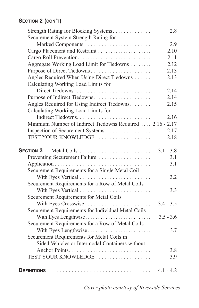## **SECTION 2 (CON'T)**

| Strength Rating for Blocking Systems                                                     | 2.8         |
|------------------------------------------------------------------------------------------|-------------|
| Securement System Strength Rating for                                                    |             |
|                                                                                          | 2.9         |
| Cargo Placement and Restraint                                                            | 2.10        |
| Cargo Roll Prevention                                                                    | 2.11        |
| Aggregate Working Load Limit for Tiedowns                                                | 2.12        |
| Purpose of Direct Tiedowns                                                               | 2.13        |
| Angles Required When Using Direct Tiedowns                                               | 2.13        |
| Calculating Working Load Limits for                                                      |             |
| Direct Tiedowns                                                                          | 2.14        |
| Purpose of Indirect Tiedowns                                                             | 2.14        |
| Angles Required for Using Indirect Tiedowns.                                             | 2.15        |
| Calculating Working Load Limits for                                                      |             |
|                                                                                          | 2.16        |
| Minimum Number of Indirect Tiedowns Required  2.16 - 2.17                                |             |
| Inspection of Securement Systems                                                         | 2.17        |
| TEST YOUR KNOWLEDGE                                                                      | 2.18        |
|                                                                                          |             |
| <b>SECTION 3</b> — Metal Coils $\ldots \ldots \ldots \ldots \ldots \ldots \ldots \ldots$ | $3.1 - 3.8$ |
| Preventing Securement Failure                                                            | 3.1         |
|                                                                                          | 3.1         |
| Securement Requirements for a Single Metal Coil                                          |             |
|                                                                                          | 3.2         |
| Securement Requirements for a Row of Metal Coils                                         |             |
|                                                                                          | 3.3         |
| Securement Requirements for Metal Coils                                                  |             |
| With Eyes Crosswise                                                                      | $3.4 - 3.5$ |
| Securement Requirements for Individual Metal Coils                                       |             |
| With Eyes Lengthwise                                                                     | $3.5 - 3.6$ |
| Securement Requirements for a Row of Metal Coils                                         |             |
| With Eyes Lengthwise                                                                     | 3.7         |
| Securement Requirements for Metal Coils in                                               |             |
| Sided Vehicles or Intermodal Containers without                                          |             |
|                                                                                          | 3.8         |
| TEST YOUR KNOWLEDGE                                                                      | 3.9         |
|                                                                                          |             |
| <b>DEFINITIONS</b>                                                                       | $4.1 - 4.2$ |

*Cover photo courtesy of Riverside Services*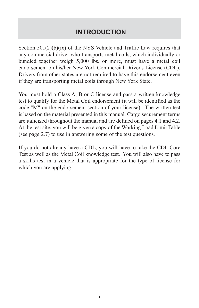## **INTRODUCTION**

Section 501(2)(b)(ix) of the NYS Vehicle and Traffic Law requires that any commercial driver who transports metal coils, which individually or bundled together weigh 5,000 lbs. or more, must have a metal coil endorsement on his/her New York Commercial Driver's License (CDL). Drivers from other states are not required to have this endorsement even if they are transporting metal coils through New York State.

You must hold a Class A, B or C license and pass a written knowledge test to qualify for the Metal Coil endorsement (it will be identified as the code "M" on the endorsement section of your license). The written test is based on the material presented in this manual. Cargo securement terms are italicized throughout the manual and are defined on pages 4.1 and 4.2. At the test site, you will be given a copy of the Working Load Limit Table (see page 2.7) to use in answering some of the test questions.

If you do not already have a CDL, you will have to take the CDL Core Test as well as the Metal Coil knowledge test. You will also have to pass a skills test in a vehicle that is appropriate for the type of license for which you are applying.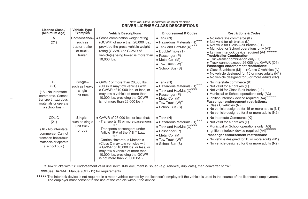| License Class<br>(Minimum Age)                                                                                             | <b>Vehicle Type</b><br>Examples                                    | <b>Vehicle Descriptions</b>                                                                                                                                                                                                                                                                                                                                         | <b>Endorsement &amp; Codes</b>                                                                                                                                                                                                                                | <b>Restrictions &amp; Codes</b>                                                                                                                                                                                                                                                                                                                                                                                                                                                                                                        |
|----------------------------------------------------------------------------------------------------------------------------|--------------------------------------------------------------------|---------------------------------------------------------------------------------------------------------------------------------------------------------------------------------------------------------------------------------------------------------------------------------------------------------------------------------------------------------------------|---------------------------------------------------------------------------------------------------------------------------------------------------------------------------------------------------------------------------------------------------------------|----------------------------------------------------------------------------------------------------------------------------------------------------------------------------------------------------------------------------------------------------------------------------------------------------------------------------------------------------------------------------------------------------------------------------------------------------------------------------------------------------------------------------------------|
| A<br>(21)                                                                                                                  | Combination-<br>such as<br>tractor-trailer<br>or truck-<br>trailer | • Gross combination weight rating<br>(GCWR) of more than 26,000 lbs.,<br>provided the gross vehicle weight<br>rating (GVWR) or GCWR of<br>vehicle(s) being towed is more than<br>10.000 lbs.                                                                                                                                                                        | $\bullet$ Tank (N)<br>$\bullet$ Hazardous Materials (H) <sup>***</sup><br>• Tank and HazMat $(X)$ <sup>***</sup><br>• Double/Triple (T)<br>• Passenger (P)<br>• Metal Coil (M)<br>$\bullet$ Tow Truck (W) <sup><math>\degree</math></sup><br>• School Bus (S) | • No interstate commerce (K)<br>• Not valid for air brakes (L)<br>. Not valid for Class A air brakes (L1)<br>• Municipal or School operations only (A3)<br>• Ignition interlock device required (A4)*****<br><b>Truck/trailer Combination:</b><br>• Truck/trailer combination only (O)<br>• Truck cannot exceed 26,000 lbs. GVWR (O1)<br>Passenger endorsement restrictions:<br>• Class B vehicles (M) • Class C vehicles (N)<br>• No vehicle designed for 15 or more adults (N1)  <br>• No vehicle designed for 8 or more adults (N2) |
| B<br>(21)<br>(18 - No interstate<br>commerce, Cannot<br>transport hazardous<br>materials or operate<br>a school bus.)      | Single-<br>such as heavy<br>single<br>unit truck                   | • GVWR of more than 26,000 lbs.<br>(Class B may tow vehicles with<br>a GVWR of 10,000 lbs. or less, or<br>may tow a vehicle of more than<br>10,000 lbs. providing the GCWR<br>is not more than 26,000 lbs.)                                                                                                                                                         | $\bullet$ Tank (N)<br>$\bullet$ Hazardous Materials (H) <sup>***</sup><br>$\bullet$ Tank and HazMat (X) <sup>7</sup><br>• Passenger (P)<br>• Metal Coil (M)<br>$\bullet$ Tow Truck $(W)^*$<br>· School Bus (S)                                                | • No interstate commerce (K)<br>• Not valid for air brakes (L)<br>• Not valid for Class B air brakes (L2)<br>• Municipal or School operations only (A3)<br>$****$<br>· Ignition interlock device required (A4)<br>Passenger endorsement restrictions:<br>• Class C vehicles (N)<br>• No vehicle designed for 15 or more adults (N1)<br>• No vehicle designed for 8 or more adults (N2)                                                                                                                                                 |
| CDL C<br>(21)<br>(18 - No interstate)<br>commerce. Cannot<br>transport hazardous<br>materials or operate<br>a school bus.) | Single-<br>such as single<br>unit truck<br>or bus                  | • GVWR of 26,000 lbs, or less that:<br>-Transports 15 or more passengers;<br>OR<br>-Transports passengers under<br>Article 19-A of the V & T Law,<br>OR<br>-Carries Hazardous Materials<br>(Class C may tow vehicles with<br>a GVWR of 10,000 lbs. or less, or<br>may tow a vehicle of more than<br>10,000 lbs. providing the GCWR<br>is not more than 26,000 lbs.) | $\bullet$ Tank (N)<br>$\bullet$ Hazardous Materials (H) <sup>***</sup><br>• Tank and HazMat $(X)$ <sup>***</sup><br>• Passenger (P)<br>• Metal Coil (M)<br>$\bullet$ Tow Truck (W) <sup>*</sup><br>• School Bus (S)                                           | • No interstate Commerce (K)<br>• Not valid for air brakes (L)<br>• Municipal or School operations only (A3)<br>*****<br>· Ignition interlock device required (A4)<br>Passenger endorsement restrictions:<br>• No vehicle designed for 15 or more adults (N1)<br>• No vehicle designed for 8 or more adults (N2)                                                                                                                                                                                                                       |

#### New York State Department of Motor Vehicles **DRIVER LICENSE CLASS DESCRIPTIONS<br>DRIVER LICENSE CLASS DESCRIPTIONS**

\* Tow trucks with "S" endorsement valid until next DMV document is issued (e.g. renewal, duplicate), then converted to "W".

\*\*\* See HAZMAT Manual (CDL-11) for requirements.

sed in the course of the licensee's employment. of requirements.<br>red in a motor vehicle owned by the l<br>he use of the vehicle without the dev nsee's emplover if the vehi The interlock device is not required in a motor vehicle owned by the licensee's employer if the vehicle is used in the course of the licensee's employment.<br>The employer must consent to the use of the vehicle without the de **\*\*\*\*\***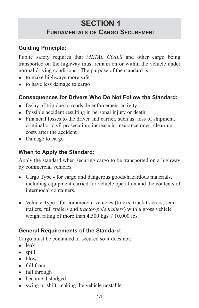## **SECTION 1 FUNDAMENTALS OF CARGO SECUREMENT**

## **Guiding Principle:**

Public safety requires that *METAL COILS* and other cargo being transported on the highway must remain on or within the vehicle under normal driving conditions. The purpose of the standard is:

- $\bullet$  to make highways more safe
- to have less damage to cargo

## **Consequences for Drivers Who Do Not Follow the Standard:**

- Delay of trip due to roadside enforcement activity
- Possible accident resulting in personal injury or death
- Financial losses to the driver and carrier, such as: loss of shipment, criminal or civil prosecution, increase in insurance rates, clean-up costs after the accident
- Damage to cargo

#### **When to Apply the Standard:**

Apply the standard when securing cargo to be transported on a highway by commercial vehicles:

- Cargo Type for cargo and dangerous goods/hazardous materials, including equipment carried for vehicle operation and the contents of intermodal containers.
- Vehicle Type for commercial vehicles (trucks, truck tractors, semitrailers, full trailers and *tractor-pole trailers*) with a gross vehicle weight rating of more than 4,500 kgs. / 10,000 lbs.

## **General Requirements of the Standard:**

Cargo must be contained or secured so it does not:

- $\bullet$  leak
- $\bullet$  spill
- $\bullet$  blow
- $\bullet$  fall from
- $\bullet$  fall through
- $\bullet$  become dislodged
- swing or shift, making the vehicle unstable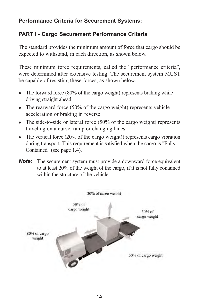#### **Performance Criteria for Securement Systems:**

#### **PART I - Cargo Securement Performance Criteria**

The standard provides the minimum amount of force that cargo should be expected to withstand, in each direction, as shown below.

These minimum force requirements, called the "performance criteria", were determined after extensive testing. The securement system MUST be capable of resisting these forces, as shown below.

- The forward force  $(80\%$  of the cargo weight) represents braking while driving straight ahead.
- The rearward force (50% of the cargo weight) represents vehicle acceleration or braking in reverse.
- The side-to-side or lateral force  $(50\% \text{ of the cargo weight})$  represents traveling on a curve, ramp or changing lanes.
- The vertical force  $(20\% \text{ of the cargo weight})$  represents cargo vibration during transport. This requirement is satisfied when the cargo is "Fully Contained" (see page 1.4).
- **Note:** The securement system must provide a downward force equivalent to at least 20% of the weight of the cargo, if it is not fully contained within the structure of the vehicle.

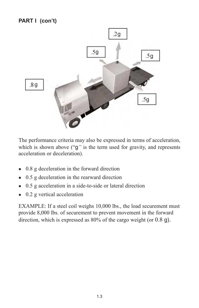## **PART I (con't)**



The performance criteria may also be expressed in terms of acceleration, which is shown above ("q" is the term used for gravity, and represents acceleration or deceleration).

- $\bullet$  0.8 g deceleration in the forward direction
- $\bullet$  0.5 g deceleration in the rearward direction
- $\bullet$  0.5 g acceleration in a side-to-side or lateral direction
- $\bullet$  0.2 g vertical acceleration

EXAMPLE: If a steel coil weighs 10,000 lbs., the load securement must provide 8,000 lbs. of securement to prevent movement in the forward direction, which is expressed as 80% of the cargo weight (or 0.8 g).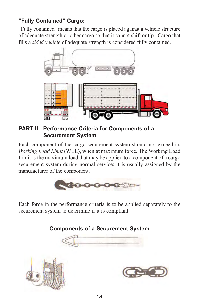## **"Fully Contained" Cargo:**

"Fully contained" means that the cargo is placed against a vehicle structure of adequate strength or other cargo so that it cannot shift or tip. Cargo that fills a *sided vehicle* of adequate strength is considered fully contained.



**PART II - Performance Criteria for Components of a Securement System**

Each component of the cargo securement system should not exceed its *Working Load Limit* (WLL), when at maximum force. The Working Load Limit is the maximum load that may be applied to a component of a cargo securement system during normal service; it is usually assigned by the manufacturer of the component.



Each force in the performance criteria is to be applied separately to the securement system to determine if it is compliant.

**Components of a Securement System**





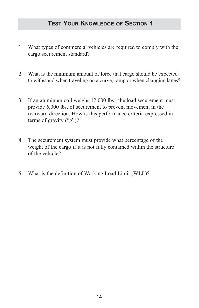- 1. What types of commercial vehicles are required to comply with the cargo securement standard?
- 2. What is the minimum amount of force that cargo should be expected to withstand when traveling on a curve, ramp or when changing lanes?
- 3. If an aluminum coil weighs 12,000 lbs., the load securement must provide 6,000 lbs. of securement to prevent movement in the rearward direction. How is this performance criteria expressed in terms of gravity ("g")?
- 4. The securement system must provide what percentage of the weight of the cargo if it is not fully contained within the structure of the vehicle?
- 5. What is the definition of Working Load Limit (WLL)?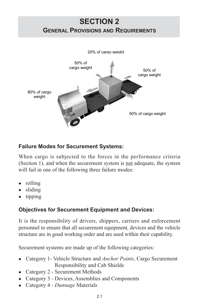## **SECTION 2 GENERAL PROVISIONS AND REQUIREMENTS**



#### **Failure Modes for Securement Systems:**

When cargo is subjected to the forces in the performance criteria (Section 1), and when the securement system is not adequate, the system will fail in one of the following three failure modes:

- $\bullet$  rolling
- $\bullet$  sliding
- $\bullet$  tipping

#### **Objectives for Securement Equipment and Devices:**

It is the responsibility of drivers, shippers, carriers and enforcement personnel to ensure that all securement equipment, devices and the vehicle structure are in good working order and are used within their capability.

Securement systems are made up of the following categories:

- <sup>l</sup> Category 1- Vehicle Structure and *Anchor Points*, Cargo Securement Responsibility and Cab Shields
- Category 2 Securement Methods
- Category 3 Devices, Assemblies and Components
- Category 4 *Dunnage* Materials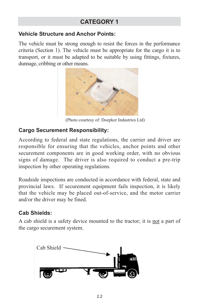## **CATEGORY 1**

#### **Vehicle Structure and Anchor Points:**

The vehicle must be strong enough to resist the forces in the performance criteria (Section 1). The vehicle must be appropriate for the cargo it is to transport, or it must be adapted to be suitable by using fittings, fixtures, dunnage, cribbing or other means.



(Photo courtesy of: Doepker Industries Ltd)

#### **Cargo Securement Responsibility:**

According to federal and state regulations, the carrier and driver are responsible for ensuring that the vehicles, anchor points and other securement components are in good working order, with no obvious signs of damage. The driver is also required to conduct a pre-trip inspection by other operating regulations.

Roadside inspections are conducted in accordance with federal, state and provincial laws. If securement equipment fails inspection, it is likely that the vehicle may be placed out-of-service, and the motor carrier and/or the driver may be fined.

#### **Cab Shields:**

A cab shield is a safety device mounted to the tractor; it is not a part of the cargo securement system.

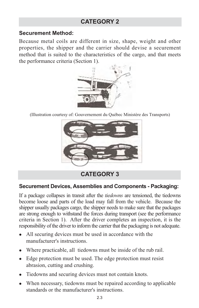#### **Securement Method:**

Because metal coils are different in size, shape, weight and other properties, the shipper and the carrier should devise a securement method that is suited to the characteristics of the cargo, and that meets the performance criteria (Section 1).



(Illustration courtesy of: Gouvernement du Québec Ministère des Transports)



**CATEGORY 3**

## **Securement Devices, Assemblies and Components - Packaging:**

If a package collapses in transit after the *tiedowns* are tensioned, the tiedowns become loose and parts of the load may fall from the vehicle. Because the shipper usually packages cargo, the shipper needs to make sure that the packages are strong enough to withstand the forces during transport (see the performance criteria in Section 1). After the driver completes an inspection, it is the responsibility of the driver to inform the carrier that the packaging is not adequate.

- $\bullet$  All securing devices must be used in accordance with the manufacturer's instructions.
- Where practicable, all tiedowns must be inside of the rub rail.
- Edge protection must be used. The edge protection must resist abrasion, cutting and crushing.
- Tiedowns and securing devices must not contain knots.
- When necessary, tiedowns must be repaired according to applicable standards or the manufacturer's instructions.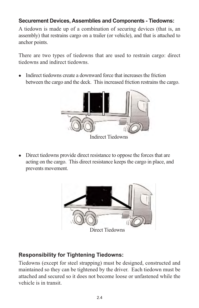#### **Securement Devices, Assemblies and Components - Tiedowns:**

A tiedown is made up of a combination of securing devices (that is, an assembly) that restrains cargo on a trailer (or vehicle), and that is attached to anchor points.

There are two types of tiedowns that are used to restrain cargo: direct tiedowns and indirect tiedowns.

• Indirect tiedowns create a downward force that increases the friction between the cargo and the deck. This increased friction restrains the cargo.



Indirect Tiedowns

• Direct tiedowns provide direct resistance to oppose the forces that are acting on the cargo. This direct resistance keeps the cargo in place, and prevents movement.



Direct Tiedowns

## **Responsibility for Tightening Tiedowns:** '

Tiedowns (except for steel strapping) must be designed, constructed and maintained so they can be tightened by the driver. Each tiedown must be attached and secured so it does not become loose or unfastened while the vehicle is in transit.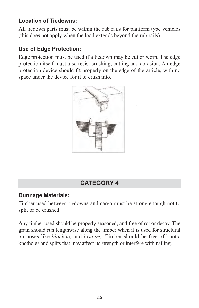#### **Location of Tiedowns:**

All tiedown parts must be within the rub rails for platform type vehicles (this does not apply when the load extends beyond the rub rails).

#### **Use of Edge Protection:**

Edge protection must be used if a tiedown may be cut or worn. The edge protection itself must also resist crushing, cutting and abrasion. An edge protection device should fit properly on the edge of the article, with no space under the device for it to crush into.



.

## **CATEGORY 4**

#### **Dunnage Materials:**

Timber used between tiedowns and cargo must be strong enough not to split or be crushed.

Any timber used should be properly seasoned, and free of rot or decay. The grain should run lengthwise along the timber when it is used for structural purposes like *blocking* and *bracing*. Timber should be free of knots, knotholes and splits that may affect its strength or interfere with nailing.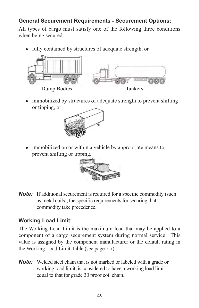## **General Securement Requirements - Securement Options:**

All types of cargo must satisfy one of the following three conditions when being secured:

• fully contained by structures of adequate strength, or



• immobilized by structures of adequate strength to prevent shifting or tipping, or



• immobilized on or within a vehicle by appropriate means to prevent shifting or tipping.



*Note:* If additional securement is required for a specific commodity (such as metal coils), the specific requirements for securing that commodity take precedence.

#### **Working Load Limit:**

The Working Load Limit is the maximum load that may be applied to a component of a cargo securement system during normal service. This value is assigned by the component manufacturer or the default rating in the Working Load Limit Table (see page 2.7).

**Note:** Welded steel chain that is not marked or labeled with a grade or working load limit, is considered to have a working load limit equal to that for grade 30 proof coil chain.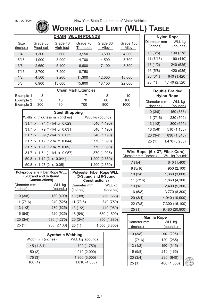# **WORKING LOAD LIMIT (WLL) TABLE**

|                      |                        |                       | <b>CHAIN WLL IN POUNDS</b> |                   |                    |
|----------------------|------------------------|-----------------------|----------------------------|-------------------|--------------------|
| Size<br>(inches)     | Grade 30<br>Proof coil | Grade 43<br>High test | Grade 70<br>Transport      | Grade 80<br>Alloy | Grade 100<br>Alloy |
| 1/4                  | 1.300                  | 2.600                 | 3,150                      | 3,500             | 4,300              |
| 5/16                 | 1,900                  | 3,900                 | 4.700                      | 4,500             | 5,700              |
| 3/8                  | 2,650                  | 5,400                 | 6,600                      | 7,100             | 8,800              |
| 7/16                 | 3,700                  | 7,200                 | 8,750                      |                   |                    |
| 1/2                  | 4,500                  | 9,200                 | 11,300                     | 12,000            | 15,000             |
| 5/8                  | 6,900                  | 13.000                | 15.800                     | 18,100            | 22,600             |
| Chain Mark Examples: |                        |                       |                            |                   |                    |
| Example 1            | 3                      | $\overline{4}$        |                            | 8                 | 10                 |
| Example 2            | 30                     | 43                    | 70                         | 80                | 100                |
| Example 3            | 300                    | 430                   | 700                        | 800               | 1000               |

| <b>Steel Strapping</b> |  |                                           |                 |
|------------------------|--|-------------------------------------------|-----------------|
|                        |  | Width x thickness mm (inches)             | WLL kg (pounds) |
|                        |  | $31.7 \times 74(1-1/4 \times 0.029)$      | 540 (1,190)     |
|                        |  | $31.7 \times 79(1-1/4 \times 0.031)$      | 540 (1,190)     |
|                        |  | 31.7 x .89 (1-1/4 x 0.035)                | 540 (1,190)     |
|                        |  | $31.7 \times 1.12$ (1-1/4 $\times$ 0.044) | 770 (1,690)     |
|                        |  | $31.7 \times 1.27$ (1-1/4 $\times$ 0.05)  | 770 (1,690)     |
|                        |  | $31.7 \times 1.5$ (1-1/4 x 0.057)         | 870 (1,925)     |
|                        |  | 50.8 x 1.12 (2 x 0.044)                   | 1,200 (2,650)   |
|                        |  | 50.8 x 1.27 (2 x 0.05)                    | 1,200 (2,650)   |

| Polypropylene Fiber Rope WLL<br>(3-Strand and 8-Strand<br>Constructions) |                           |                         | <b>Polyester Fiber Rope WLL</b><br>(3-Strand and 8-Strand<br>Constructions) |
|--------------------------------------------------------------------------|---------------------------|-------------------------|-----------------------------------------------------------------------------|
| Diameter mm<br>(inches)                                                  | <b>WLL</b> kg<br>(pounds) | Diameter mm<br>(inches) | WLL kg<br>(pounds)                                                          |
| 10(3/8)                                                                  | 180 (400)                 | 10(3/8)                 | 250 (555)                                                                   |
| 11(7/16)                                                                 | 240 (525)                 | 11(7/16)                | 340 (750)                                                                   |
| 13(1/2)                                                                  | 280 (625)                 | 13(1/2)                 | 440 (960)                                                                   |
| 16 (5/8)                                                                 | 420 (925)                 | 16 (5/8)                | 680 (1,500)                                                                 |
| 20(3/4)                                                                  | 580 (1,275)               | 20(3/4)                 | 850 (1,880)                                                                 |
| 25(1)                                                                    | 950 (2,100)               |                         | 1,500 (3,300)                                                               |

| <b>Synthetic Webbing</b> |                 |  |
|--------------------------|-----------------|--|
| Width mm (inches)        | WLL kg (pounds) |  |
| 45 (1-3/4)               | 790 (1,750)     |  |
| 50(2)                    | 910 (2,000)     |  |
| 75(3)                    | 1,360 (3,000)   |  |
| 100(4)                   | 1,810 (4,000)   |  |

|             | <b>Nylon Rope</b> |
|-------------|-------------------|
| Diameter mm | <b>WLL</b> kg     |
| (inches)    | (pounds)          |
| 10(3/8)     | 130 (278)         |
| 11 (7/16)   | 190 (410)         |
| 13(1/2)     | 240 (525)         |
| 16 (5/8)    | 420 (935)         |
| 20(3/4)     | 640 (1,420)       |
| 25(1)       | 1,140 (2,520)     |

| <b>Double Braided</b><br><b>Nylon Rope</b> |                           |  |
|--------------------------------------------|---------------------------|--|
| Diameter mm<br>(inches)                    | <b>WLL</b> kg<br>(pounds) |  |
| 10(3/8)                                    | 150 (336)                 |  |
| 11(7/16)                                   | 230 (502)                 |  |
| 13(1/2)                                    | 300 (655)                 |  |
| 16 (5/8)                                   | 510 (1,130)               |  |
| 20(3/4)                                    | 830 (1,840)               |  |
| 25(1)                                      | 1,470 (3,250)             |  |

| Diameter mm (inches) | Wire Rope (6 x 37, Fiber Core)<br><b>WLL</b> kg (pounds) |
|----------------------|----------------------------------------------------------|
| 7(1/4)               | 640 (1,400)                                              |
| 8(5/16)              | 950 (2,100)                                              |
| 10 (3/8              | 1,360 (3,000)                                            |
| 11 (7/16)            | 1,860 (4,100)                                            |
| 13(1/2)              | 2,400 (5,300)                                            |
| 16 (5/8)             | 3,770 (8,300)                                            |
| 20(3/4)              | 4,940 (10,900)                                           |
| 22 (7/8)             | 7,300 (16,100)                                           |
| 25(1)                | 9,480 (20,900)                                           |

| <b>Manila Rope</b> |               |  |
|--------------------|---------------|--|
| Diameter mm        | <b>WLL</b> kg |  |
| (inches)           | (pounds)      |  |
| 10(3/8)            | 90 (205)      |  |
| 11 (7/16)          | 120 (265)     |  |
| 13(1/2)            | 150 (315)     |  |
| 16 (5/8)           | 210 (465)     |  |
| 20(3/4)            | 290 (640)     |  |
| 25(1)              | 480 (1,050)   |  |

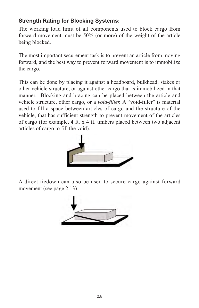#### **Strength Rating for Blocking Systems:**

The working load limit of all components used to block cargo from forward movement must be 50% (or more) of the weight of the article being blocked.

The most important securement task is to prevent an article from moving forward, and the best way to prevent forward movement is to immobilize the cargo.

This can be done by placing it against a headboard, bulkhead, stakes or other vehicle structure, or against other cargo that is immobilized in that manner. Blocking and bracing can be placed between the article and vehicle structure, other cargo, or a *void-filler.* A "void-filler" is material used to fill a space between articles of cargo and the structure of the vehicle, that has sufficient strength to prevent movement of the articles of cargo (for example, 4 ft. x 4 ft. timbers placed between two adjacent articles of cargo to fill the void).



A direct tiedown can also be used to secure cargo against forward movement (see page 2.13)

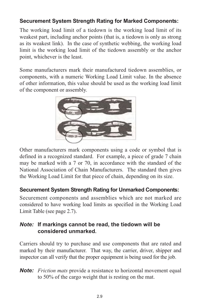#### **Securement System Strength Rating for Marked Components:**

The working load limit of a tiedown is the working load limit of its weakest part, including anchor points (that is, a tiedown is only as strong as its weakest link). In the case of synthetic webbing, the working load limit is the working load limit of the tiedown assembly or the anchor point, whichever is the least.

Some manufacturers mark their manufactured tiedown assemblies, or components, with a numeric Working Load Limit value. In the absence of other information, this value should be used as the working load limit of the component or assembly.



Other manufacturers mark components using a code or symbol that is defined in a recognized standard. For example, a piece of grade 7 chain may be marked with a 7 or 70, in accordance with the standard of the National Association of Chain Manufacturers. The standard then gives the Working Load Limit for that piece of chain, depending on its size.

#### **Securement System Strength Rating for Unmarked Components:**

Securement components and assemblies which are not marked are considered to have working load limits as specified in the Working Load Limit Table (see page 2.7).

#### *Note:* **If markings cannot be read, the tiedown will be considered unmarked.**

Carriers should try to purchase and use components that are rated and marked by their manufacturer. That way, the carrier, driver, shipper and inspector can all verify that the proper equipment is being used for the job.

*Note: Friction mats* provide a resistance to horizontal movement equal to 50% of the cargo weight that is resting on the mat.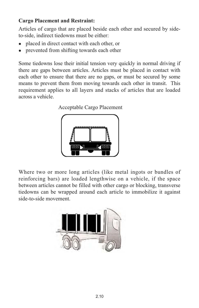#### **Cargo Placement and Restraint:**

Articles of cargo that are placed beside each other and secured by sideto-side, indirect tiedowns must be either:

- placed in direct contact with each other, or
- prevented from shifting towards each other

Some tiedowns lose their initial tension very quickly in normal driving if there are gaps between articles. Articles must be placed in contact with each other to ensure that there are no gaps, or must be secured by some means to prevent them from moving towards each other in transit. This requirement applies to all layers and stacks of articles that are loaded across a vehicle.





Where two or more long articles (like metal ingots or bundles of reinforcing bars) are loaded lengthwise on a vehicle, if the space between articles cannot be filled with other cargo or blocking, transverse tiedowns can be wrapped around each article to immobilize it against side-to-side movement.

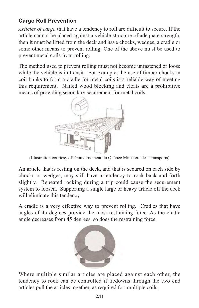## **Cargo Roll Prevention**

*Articles of cargo* that have a tendency to roll are difficult to secure. If the article cannot be placed against a vehicle structure of adequate strength, then it must be lifted from the deck and have chocks, wedges, a cradle or some other means to prevent rolling. One of the above must be used to prevent metal coils from rolling.

The method used to prevent rolling must not become unfastened or loose while the vehicle is in transit. For example, the use of timber chocks in coil bunks to form a cradle for metal coils is a reliable way of meeting this requirement. Nailed wood blocking and cleats are a prohibitive means of providing secondary securement for metal coils.



(Illustration courtesy of: Gouvernement du Québec Ministère des Transports)

An article that is resting on the deck, and that is secured on each side by chocks or wedges, may still have a tendency to rock back and forth slightly. Repeated rocking during a trip could cause the securement system to loosen. Supporting a single large or heavy article off the deck will eliminate this tendency.

A cradle is a very effective way to prevent rolling. Cradles that have angles of 45 degrees provide the most restraining force. As the cradle angle decreases from 45 degrees, so does the restraining force.



Where multiple similar articles are placed against each other, the tendency to rock can be controlled if tiedowns through the two end articles pull the articles together, as required for multiple coils.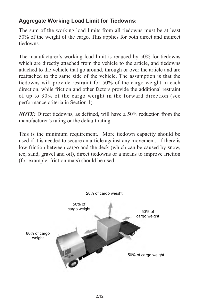#### **Aggregate Working Load Limit for Tiedowns:**

The sum of the working load limits from all tiedowns must be at least 50% of the weight of the cargo. This applies for both direct and indirect tiedowns.

The manufacturer's working load limit is reduced by 50% for tiedowns which are directly attached from the vehicle to the article, and tiedowns attached to the vehicle that go around, through or over the article and are reattached to the same side of the vehicle. The assumption is that the tiedowns will provide restraint for 50% of the cargo weight in each direction, while friction and other factors provide the additional restraint of up to 30% of the cargo weight in the forward direction (see performance criteria in Section 1).

*NOTE:* Direct tiedowns, as defined, will have a 50% reduction from the manufacturer's rating or the default rating.

This is the minimum requirement. More tiedown capacity should be used if it is needed to secure an article against any movement. If there is low friction between cargo and the deck (which can be caused by snow, ice, sand, gravel and oil), direct tiedowns or a means to improve friction (for example, friction mats) should be used.

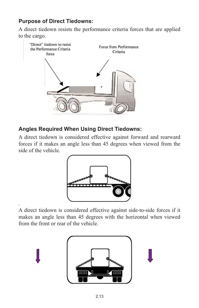#### **Purpose of Direct Tiedowns:**

A direct tiedown resists the performance criteria forces that are applied to the cargo.



#### **Angles Required When Using Direct Tiedowns:**

A direct tiedown is considered effective against forward and rearward forces if it makes an angle less than 45 degrees when viewed from the side of the vehicle.



. A direct tiedown is considered effective against side-to-side forces if it makes an angle less than 45 degrees with the horizontal when viewed from the front or rear of the vehicle.

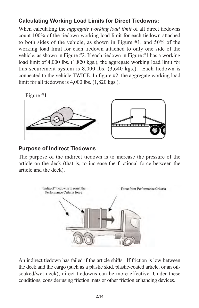#### **Calculating Working Load Limits for Direct Tiedowns:**

When calculating the *aggregate working load limit* of all direct tiedowns count 100% of the tiedown working load limit for each tiedown attached to both sides of the vehicle, as shown in Figure #1, and 50% of the working load limit for each tiedown attached to only one side of the vehicle, as shown in Figure #2. If each tiedown in Figure #1 has a working load limit of 4,000 lbs. (1,820 kgs.), the aggregate working load limit for this securement system is 8,000 lbs. (3,640 kgs.). Each tiedown is connected to the vehicle TWICE. In figure #2, the aggregate working load limit for all tiedowns is 4,000 lbs. (1,820 kgs.).

Figure  $#1$ 



#### **Purpose of Indirect Tiedowns**

The purpose of the indirect tiedown is to increase the pressure of the article on the deck (that is, to increase the frictional force between the article and the deck).



An indirect tiedown has failed if the article shifts. If friction is low between the deck and the cargo (such as a plastic skid, plastic-coated article, or an oilsoaked/wet deck), direct tiedowns can be more effective. Under these conditions, consider using friction mats or other friction enhancing devices.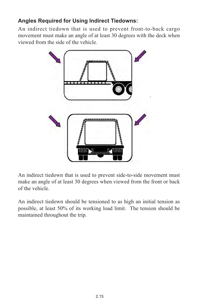## **Angles Required for Using Indirect Tiedowns:**

An indirect tiedown that is used to prevent front-to-back cargo movement must make an angle of at least 30 degrees with the deck when viewed from the side of the vehicle.



An indirect tiedown that is used to prevent side-to-side movement must make an angle of at least 30 degrees when viewed from the front or back of the vehicle.

An indirect tiedown should be tensioned to as high an initial tension as possible, at least 50% of its working load limit. The tension should be maintained throughout the trip.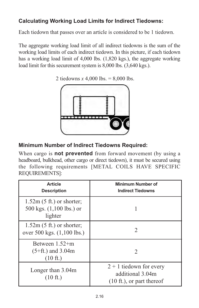## **Calculating Working Load Limits for Indirect Tiedowns:**

Each tiedown that passes over an article is considered to be 1 tiedown.

The aggregate working load limit of all indirect tiedowns is the sum of the working load limits of each indirect tiedown. In this picture, if each tiedown has a working load limit of 4,000 lbs. (1,820 kgs.), the aggregate working load limit for this securement system is 8,000 lbs. (3,640 kgs.).

2 tiedowns *x* 4,000 lbs. = 8,000 lbs.



#### **Minimum Number of Indirect Tiedowns Required:**

When cargo is **not prevented** from forward movement (by using a headboard, bulkhead, other cargo or direct tiedown), it must be secured using the following requirements [METAL COILS HAVE SPECIFIC REQUIREMENTS]:

| <b>Article</b><br><b>Description</b>                                | <b>Minimum Number of</b><br><b>Indirect Tiedowns</b>                                  |
|---------------------------------------------------------------------|---------------------------------------------------------------------------------------|
| $1.52m(5 ft.)$ or shorter;<br>500 kgs. $(1,100$ lbs.) or<br>lighter |                                                                                       |
| $1.52m(5 ft.)$ or shorter;<br>over 500 kgs. (1,100 lbs.)            | 2                                                                                     |
| Between $1.52+m$<br>$(5 + ft.)$ and 3.04m<br>$(10 \text{ ft.})$     | $\mathfrak{D}$                                                                        |
| Longer than 3.04m<br>$(10 \text{ ft.})$                             | $2 + 1$ tiedown for every<br>additional 3.04m<br>$(10 \text{ ft.})$ , or part thereof |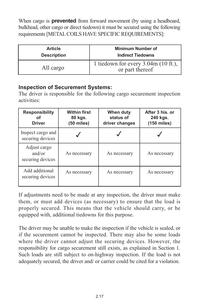When cargo is **prevented** from forward movement (by using a headboard, bulkhead, other cargo or direct tiedown) it must be secured using the following requirements [METAL COILS HAVE SPECIFIC REQUIREMENTS]:

| <b>Article</b>     | <b>Minimum Number of</b>                                 |
|--------------------|----------------------------------------------------------|
| <b>Description</b> | <b>Indirect Tiedowns</b>                                 |
| All cargo          | 1 tiedown for every $3.04m$ (10 ft.),<br>or part thereof |

#### **Inspection of Securement Systems:**

The driver is responsible for the following cargo securement inspection activities:

| <b>Responsibility</b><br>οf<br><b>Driver</b> | <b>Within first</b><br>80 kgs.<br>$(50 \text{ miles})$ | When duty<br>status of<br>driver changes | After 3 his. or<br>240 kgs.<br>$(150$ miles) |
|----------------------------------------------|--------------------------------------------------------|------------------------------------------|----------------------------------------------|
| Inspect cargo and<br>securing devices        |                                                        |                                          |                                              |
| Adjust cargo<br>and/or<br>securing devices   | As necessary                                           | As necessary                             | As necessary                                 |
| Add additional<br>securing devices           | As necessary                                           | As necessary                             | As necessary                                 |

If adjustments need to be made at any inspection, the driver must make them, or must add devices (as necessary) to ensure that the load is properly secured. This means that the vehicle should carry, or be equipped with, additional tiedowns for this purpose.

The driver may be unable to make the inspection if the vehicle is sealed, or if the securement cannot be inspected. There may also be some loads where the driver cannot adjust the securing devices. However, the responsibility for cargo securement still exists, as explained in Section 1. Such loads are still subject to on-highway inspection. If the load is not adequately secured, the driver and/ or carrier could be cited for a violation.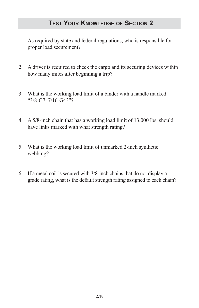- 1. As required by state and federal regulations, who is responsible for proper load securement?
- 2. A driver is required to check the cargo and its securing devices within how many miles after beginning a trip?
- 3. What is the working load limit of a binder with a handle marked "3/8-G7, 7/16-G43"?
- 4. A 5/8-inch chain that has a working load limit of 13,000 lbs. should have links marked with what strength rating?
- 5. What is the working load limit of unmarked 2-inch synthetic webbing?
- 6. If a metal coil is secured with 3/8-inch chains that do not display a grade rating, what is the default strength rating assigned to each chain?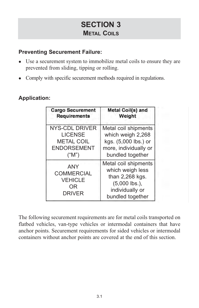## **SECTION 3 METAL COILS**

#### **Preventing Securement Failure:**

- Use a securement system to immobilize metal coils to ensure they are prevented from sliding, tipping or rolling.
- Comply with specific securement methods required in regulations.

#### **Application:**

| <b>Cargo Securement</b>                                                  | Metal Coil(s) and                                                                                                     |
|--------------------------------------------------------------------------|-----------------------------------------------------------------------------------------------------------------------|
| <b>Requirements</b>                                                      | Weight                                                                                                                |
| <b>NYS-CDL DRIVER</b>                                                    | Metal coil shipments                                                                                                  |
| <b>LICENSE</b>                                                           | which weigh 2,268                                                                                                     |
| <b>METAL COIL</b>                                                        | kgs. (5,000 lbs.) or                                                                                                  |
| <b>ENDORSEMENT</b>                                                       | more, individually or                                                                                                 |
| ("M")                                                                    | bundled together                                                                                                      |
| <b>ANY</b><br><b>COMMERCIAL</b><br><b>VEHICLE</b><br>OR<br><b>DRIVER</b> | Metal coil shipments<br>which weigh less<br>than 2,268 kgs.<br>$(5,000$ lbs.),<br>individually or<br>bundled together |

The following securement requirements are for metal coils transported on flatbed vehicles, van-type vehicles or intermodal containers that have anchor points. Securement requirements for sided vehicles or intermodal containers without anchor points are covered at the end of this section.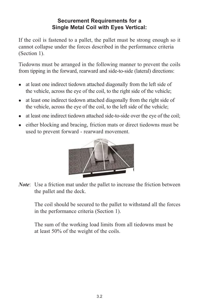#### **Securement Requirements for a Single Metal Coil with Eyes Vertical:**

If the coil is fastened to a pallet, the pallet must be strong enough so it cannot collapse under the forces described in the performance criteria (Section 1).

Tiedowns must be arranged in the following manner to prevent the coils from tipping in the forward, rearward and side-to-side (lateral) directions:

- $\bullet$  at least one indirect tiedown attached diagonally from the left side of the vehicle, across the eye of the coil, to the right side of the vehicle;
- at least one indirect tiedown attached diagonally from the right side of the vehicle, across the eye of the coil, to the left side of the vehicle;
- at least one indirect tiedown attached side-to-side over the eye of the coil;
- either blocking and bracing, friction mats or direct tiedowns must be used to prevent forward - rearward movement.



*Note*: Use a friction mat under the pallet to increase the friction between the pallet and the deck.

The coil should be secured to the pallet to withstand all the forces in the performance criteria (Section 1).

The sum of the working load limits from all tiedowns must be at least 50% of the weight of the coils.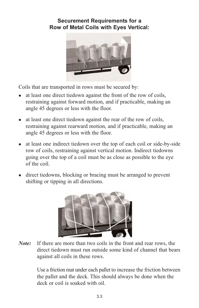#### **Securement Requirements for a Row of Metal Coils with Eyes Vertical:**



Coils that are transported in rows must be secured by:

- at least one direct tiedown against the front of the row of coils. restraining against forward motion, and if practicable, making an angle 45 degrees or less with the floor.
- $\bullet$  at least one direct tiedown against the rear of the row of coils, restraining against rearward motion, and if practicable, making an angle 45 degrees or less with the floor.
- at least one indirect tiedown over the top of each coil or side-by-side row of coils, restraining against vertical motion. Indirect tiedowns going over the top of a coil must be as close as possible to the eye of the coil.
- direct tiedowns, blocking or bracing must be arranged to prevent shifting or tipping in all directions.



*Note:* If there are more than two coils in the front and rear rows, the direct tiedown must run outside some kind of channel that bears against all coils in these rows.

> Use a friction mat under each pallet to increase the friction between the pallet and the deck. This should always be done when the deck or coil is soaked with oil.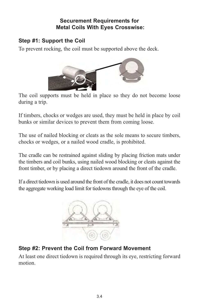#### **Securement Requirements for Metal Coils With Eyes Crosswise:**

#### **Step #1: Support the Coil**

To prevent rocking, the coil must be supported above the deck.



The coil supports must be held in place so they do not become loose during a trip.

If timbers, chocks or wedges are used, they must be held in place by coil bunks or similar devices to prevent them from coming loose.

The use of nailed blocking or cleats as the sole means to secure timbers, chocks or wedges, or a nailed wood cradle, is prohibited.

The cradle can be restrained against sliding by placing friction mats under the timbers and coil bunks, using nailed wood blocking or cleats against the front timber, or by placing a direct tiedown around the front of the cradle.

If a direct tiedown is used around the front of the cradle, it does not count towards the aggregate working load limit for tiedowns through the eye of the coil.



## **Step #2: Prevent the Coil from Forward Movement**

At least one direct tiedown is required through its eye, restricting forward motion.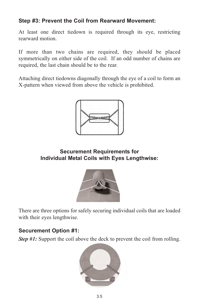#### **Step #3: Prevent the Coil from Rearward Movement:**

At least one direct tiedown is required through its eye, restricting rearward motion.

If more than two chains are required, they should be placed symmetrically on either side of the coil. If an odd number of chains are required, the last chain should be to the rear.

Attaching direct tiedowns diagonally through the eye of a coil to form an X-pattern when viewed from above the vehicle is prohibited.



#### **Securement Requirements for Individual Metal Coils with Eyes Lengthwise:**



There are three options for safely securing individual coils that are loaded with their eyes lengthwise.

#### **Securement Option #1:**

*Step #1:* Support the coil above the deck to prevent the coil from rolling.

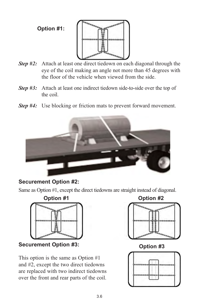**Option #1:**



- *Step #2:* Attach at least one direct tiedown on each diagonal through the eye of the coil making an angle not more than 45 degrees with the floor of the vehicle when viewed from the side.
- *Step #3:* Attach at least one indirect tiedown side-to-side over the top of the coil.
- *Step #4:* Use blocking or friction mats to prevent forward movement.



#### **Securement Option #2:**

Same as Option #1, except the direct tiedowns are straight instead of diagonal.



**Securement Option #3:** 

This option is the same as Option #1 and #2, except the two direct tiedowns are replaced with two indirect tiedowns over the front and rear parts of the coil.



**Option #3**

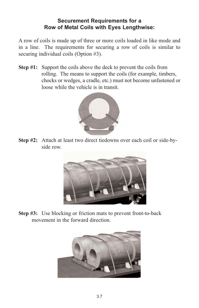#### **Securement Requirements for a Row of Metal Coils with Eyes Lengthwise:**

A row of coils is made up of three or more coils loaded in like mode and in a line. The requirements for securing a row of coils is similar to securing individual coils (Option #3).

**Step #1:** Support the coils above the deck to prevent the coils from rolling. The means to support the coils (for example, timbers, chocks or wedges, a cradle, etc.) must not become unfastened or loose while the vehicle is in transit.



**Step #2:** Attach at least two direct tiedowns over each coil or side-byside row.



**Step #3:** Use blocking or friction mats to prevent front-to-back movement in the forward direction.

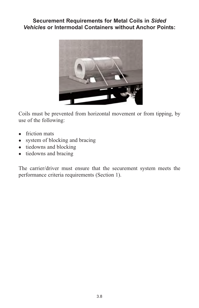#### **Securement Requirements for Metal Coils in** *Sided Vehicles* **or Intermodal Containers without Anchor Points:**



Coils must be prevented from horizontal movement or from tipping, by use of the following:

- $\bullet$  friction mats
- system of blocking and bracing
- $\bullet$  tiedowns and blocking
- tiedowns and bracing

The carrier/driver must ensure that the securement system meets the performance criteria requirements (Section 1).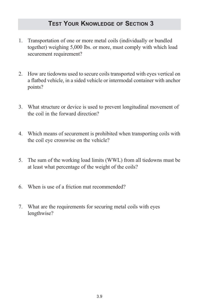## **TEST YOUR KNOWLEDGE OF SECTION 3**

- 1. Transportation of one or more metal coils (individually or bundled together) weighing 5,000 lbs. or more, must comply with which load securement requirement?
- 2. How are tiedowns used to secure coils transported with eyes vertical on a flatbed vehicle, in a sided vehicle or intermodal container with anchor points?
- 3. What structure or device is used to prevent longitudinal movement of the coil in the forward direction?
- 4. Which means of securement is prohibited when transporting coils with the coil eye crosswise on the vehicle?
- 5. The sum of the working load limits (WWL) from all tiedowns must be at least what percentage of the weight of the coils?
- 6. When is use of a friction mat recommended?
- 7. What are the requirements for securing metal coils with eyes lengthwise?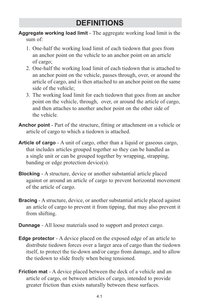## **DEFINITIONS**

**Aggregate working load limit** - The aggregate working load limit is the sum of:

- 1. One-half the working load limit of each tiedown that goes from an anchor point on the vehicle to an anchor point on an article of cargo;
- 2. One-half the working load limit of each tiedown that is attached to an anchor point on the vehicle, passes through, over, or around the article of cargo, and is then attached to an anchor point on the same side of the vehicle;
- 3. The working load limit for each tiedown that goes from an anchor point on the vehicle, through, over, or around the article of cargo, and then attaches to another anchor point on the other side of the vehicle.
- **Anchor point**  Part of the structure, fitting or attachment on a vehicle or article of cargo to which a tiedown is attached.
- **Article of cargo** A unit of cargo, other than a liquid or gaseous cargo, that includes articles grouped together so they can be handled as a single unit or can be grouped together by wrapping, strapping, banding or edge protection device(s).
- **Blocking** A structure, device or another substantial article placed against or around an article of cargo to prevent horizontal movement of the article of cargo.
- **Bracing** A structure, device, or another substantial article placed against an article of cargo to prevent it from tipping, that may also prevent it from shifting.
- **Dunnage** All loose materials used to support and protect cargo.
- **Edge protector** A device placed on the exposed edge of an article to distribute tiedown forces over a larger area of cargo than the tiedown itself, to protect the tie-down and/or cargo from damage, and to allow the tiedown to slide freely when being tensioned.
- **Friction mat** A device placed between the deck of a vehicle and an article of cargo, or between articles of cargo, intended to provide greater friction than exists naturally between these surfaces.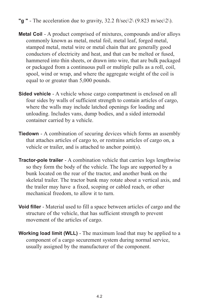- **"g "**  The acceleration due to gravity, 32.2 ft/sec\2\ (9.823 m/sec\2\).
- **Metal Coil**  A product comprised of mixtures, compounds and/or alloys commonly known as metal, metal foil, metal leaf, forged metal, stamped metal, metal wire or metal chain that are generally good conductors of electricity and heat, and that can be melted or fused, hammered into thin sheets, or drawn into wire, that are bulk packaged or packaged from a continuous pull or multiple pulls as a roll, coil, spool, wind or wrap, and where the aggregate weight of the coil is equal to or greater than 5,000 pounds.
- **Sided vehicle** A vehicle whose cargo compartment is enclosed on all four sides by walls of sufficient strength to contain articles of cargo, where the walls may include latched openings for loading and unloading. Includes vans, dump bodies, and a sided internodal container carried by a vehicle.
- **Tiedown** A combination of securing devices which forms an assembly that attaches articles of cargo to, or restrains articles of cargo on, a vehicle or trailer, and is attached to anchor point(s).
- **Tractor-pole trailer** A combination vehicle that carries logs lengthwise so they form the body of the vehicle. The logs are supported by a bunk located on the rear of the tractor, and another bunk on the skeletal trailer. The tractor bunk may rotate about a vertical axis, and the trailer may have a fixed, scoping or cabled reach, or other mechanical freedom, to allow it to turn.
- **Void filler** Material used to fill a space between articles of cargo and the structure of the vehicle, that has sufficient strength to prevent movement of the articles of cargo.
- **Working load limit (WLL)** The maximum load that may be applied to a component of a cargo securement system during normal service, usually assigned by the manufacturer of the component.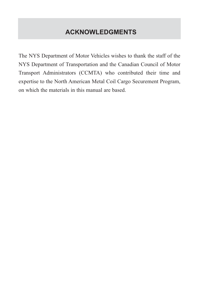## **ACKNOWLEDGMENTS**

The NYS Department of Motor Vehicles wishes to thank the staff of the NYS Department of Transportation and the Canadian Council of Motor Transport Administrators (CCMTA) who contributed their time and expertise to the North American Metal Coil Cargo Securement Program, on which the materials in this manual are based.